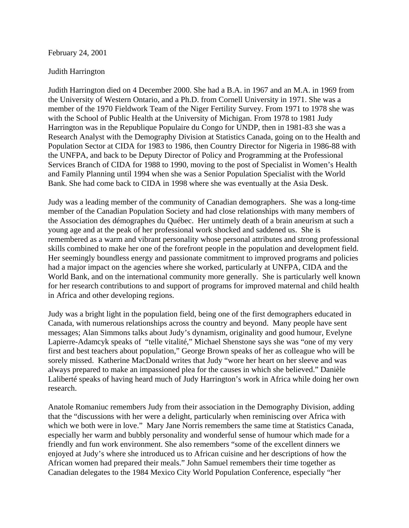## February 24, 2001

## Judith Harrington

Judith Harrington died on 4 December 2000. She had a B.A. in 1967 and an M.A. in 1969 from the University of Western Ontario, and a Ph.D. from Cornell University in 1971. She was a member of the 1970 Fieldwork Team of the Niger Fertility Survey. From 1971 to 1978 she was with the School of Public Health at the University of Michigan. From 1978 to 1981 Judy Harrington was in the Republique Populaire du Congo for UNDP, then in 1981-83 she was a Research Analyst with the Demography Division at Statistics Canada, going on to the Health and Population Sector at CIDA for 1983 to 1986, then Country Director for Nigeria in 1986-88 with the UNFPA, and back to be Deputy Director of Policy and Programming at the Professional Services Branch of CIDA for 1988 to 1990, moving to the post of Specialist in Women's Health and Family Planning until 1994 when she was a Senior Population Specialist with the World Bank. She had come back to CIDA in 1998 where she was eventually at the Asia Desk.

Judy was a leading member of the community of Canadian demographers. She was a long-time member of the Canadian Population Society and had close relationships with many members of the Association des démographes du Québec. Her untimely death of a brain aneurism at such a young age and at the peak of her professional work shocked and saddened us. She is remembered as a warm and vibrant personality whose personal attributes and strong professional skills combined to make her one of the forefront people in the population and development field. Her seemingly boundless energy and passionate commitment to improved programs and policies had a major impact on the agencies where she worked, particularly at UNFPA, CIDA and the World Bank, and on the international community more generally. She is particularly well known for her research contributions to and support of programs for improved maternal and child health in Africa and other developing regions.

Judy was a bright light in the population field, being one of the first demographers educated in Canada, with numerous relationships across the country and beyond. Many people have sent messages; Alan Simmons talks about Judy's dynamism, originality and good humour, Evelyne Lapierre-Adamcyk speaks of "telle vitalité," Michael Shenstone says she was "one of my very first and best teachers about population," George Brown speaks of her as colleague who will be sorely missed. Katherine MacDonald writes that Judy "wore her heart on her sleeve and was always prepared to make an impassioned plea for the causes in which she believed." Danièle Laliberté speaks of having heard much of Judy Harrington's work in Africa while doing her own research.

Anatole Romaniuc remembers Judy from their association in the Demography Division, adding that the "discussions with her were a delight, particularly when reminiscing over Africa with which we both were in love." Mary Jane Norris remembers the same time at Statistics Canada, especially her warm and bubbly personality and wonderful sense of humour which made for a friendly and fun work environment. She also remembers "some of the excellent dinners we enjoyed at Judy's where she introduced us to African cuisine and her descriptions of how the African women had prepared their meals." John Samuel remembers their time together as Canadian delegates to the 1984 Mexico City World Population Conference, especially "her